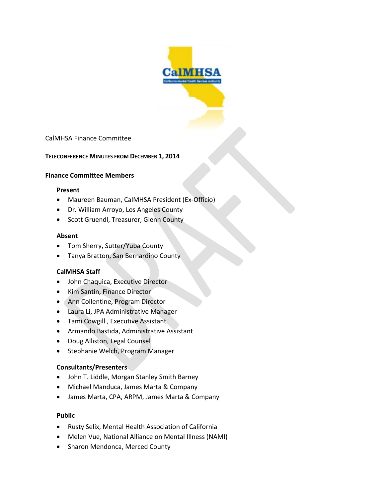

### CalMHSA Finance Committee

#### **TELECONFERENCE MINUTES FROM DECEMBER 1, 2014**

#### **Finance Committee Members**

#### **Present**

- Maureen Bauman, CalMHSA President (Ex-Officio)
- Dr. William Arroyo, Los Angeles County
- Scott Gruendl, Treasurer, Glenn County

#### **Absent**

- Tom Sherry, Sutter/Yuba County
- Tanya Bratton, San Bernardino County

#### **CalMHSA Staff**

- John Chaquica, Executive Director
- Kim Santin, Finance Director
- Ann Collentine, Program Director
- Laura Li, JPA Administrative Manager
- Tami Cowgill , Executive Assistant
- Armando Bastida, Administrative Assistant
- Doug Alliston, Legal Counsel
- Stephanie Welch, Program Manager

#### **Consultants/Presenters**

- John T. Liddle, Morgan Stanley Smith Barney
- Michael Manduca, James Marta & Company
- James Marta, CPA, ARPM, James Marta & Company

#### **Public**

- Rusty Selix, Mental Health Association of California
- Melen Vue, National Alliance on Mental Illness (NAMI)
- Sharon Mendonca, Merced County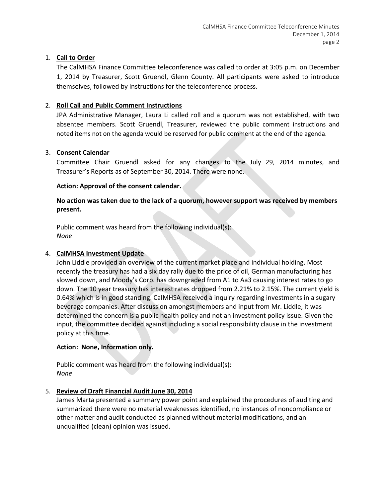## 1. **Call to Order**

The CalMHSA Finance Committee teleconference was called to order at 3:05 p.m. on December 1, 2014 by Treasurer, Scott Gruendl, Glenn County. All participants were asked to introduce themselves, followed by instructions for the teleconference process.

## 2. **Roll Call and Public Comment Instructions**

JPA Administrative Manager, Laura Li called roll and a quorum was not established, with two absentee members. Scott Gruendl, Treasurer, reviewed the public comment instructions and noted items not on the agenda would be reserved for public comment at the end of the agenda.

## 3. **Consent Calendar**

Committee Chair Gruendl asked for any changes to the July 29, 2014 minutes, and Treasurer's Reports as of September 30, 2014. There were none.

### **Action: Approval of the consent calendar.**

## **No action was taken due to the lack of a quorum, however support was received by members present.**

Public comment was heard from the following individual(s): *None*

### 4. **CalMHSA Investment Update**

John Liddle provided an overview of the current market place and individual holding. Most recently the treasury has had a six day rally due to the price of oil, German manufacturing has slowed down, and Moody's Corp. has downgraded from A1 to Aa3 causing interest rates to go down. The 10 year treasury has interest rates dropped from 2.21% to 2.15%. The current yield is 0.64% which is in good standing. CalMHSA received a inquiry regarding investments in a sugary beverage companies. After discussion amongst members and input from Mr. Liddle, it was determined the concern is a public health policy and not an investment policy issue. Given the input, the committee decided against including a social responsibility clause in the investment policy at this time.

### **Action: None, Information only.**

Public comment was heard from the following individual(s): *None*

### 5. **Review of Draft Financial Audit June 30, 2014**

James Marta presented a summary power point and explained the procedures of auditing and summarized there were no material weaknesses identified, no instances of noncompliance or other matter and audit conducted as planned without material modifications, and an unqualified (clean) opinion was issued.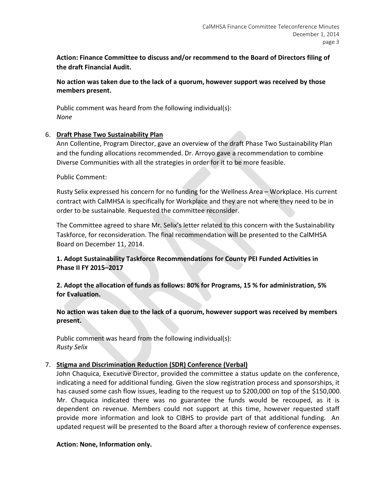**Action: Finance Committee to discuss and/or recommend to the Board of Directors filing of the draft Financial Audit.**

**No action was taken due to the lack of a quorum, however support was received by those members present.**

Public comment was heard from the following individual(s): *None*

### 6. **Draft Phase Two Sustainability Plan**

Ann Collentine, Program Director, gave an overview of the draft Phase Two Sustainability Plan and the funding allocations recommended. Dr. Arroyo gave a recommendation to combine Diverse Communities with all the strategies in order for it to be more feasible.

Public Comment:

Rusty Selix expressed his concern for no funding for the Wellness Area – Workplace. His current contract with CalMHSA is specifically for Workplace and they are not where they need to be in order to be sustainable. Requested the committee reconsider.

The Committee agreed to share Mr. Selix's letter related to this concern with the Sustainability Taskforce, for reconsideration. The final recommendation will be presented to the CalMHSA Board on December 11, 2014.

**1. Adopt Sustainability Taskforce Recommendations for County PEI Funded Activities in Phase II FY 2015–2017**

**2. Adopt the allocation of funds as follows: 80% for Programs, 15 % for administration, 5% for Evaluation.**

**No action was taken due to the lack of a quorum, however support was received by members present.**

Public comment was heard from the following individual(s): *Rusty Selix* 

### 7. **Stigma and Discrimination Reduction (SDR) Conference (Verbal)**

John Chaquica, Executive Director, provided the committee a status update on the conference, indicating a need for additional funding. Given the slow registration process and sponsorships, it has caused some cash flow issues, leading to the request up to \$200,000 on top of the \$150,000. Mr. Chaquica indicated there was no guarantee the funds would be recouped, as it is dependent on revenue. Members could not support at this time, however requested staff provide more information and look to CIBHS to provide part of that additional funding. An updated request will be presented to the Board after a thorough review of conference expenses.

### **Action: None, Information only.**